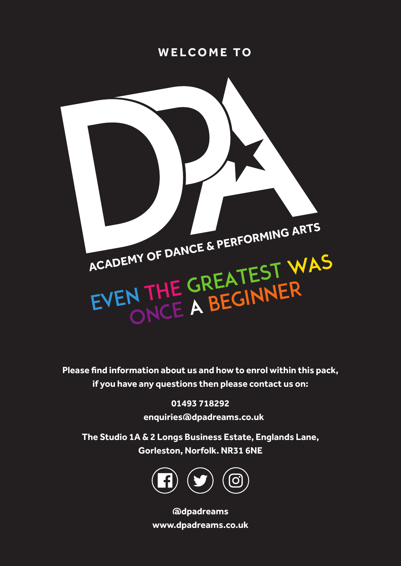# **WELCOME TO**



**Please find information about us and how to enrol within this pack, if you have any questions then please contact us on:**

> **01493 718292 enquiries@dpadreams.co.uk**

**The Studio 1A & 2 Longs Business Estate, Englands Lane, Gorleston, Norfolk. NR31 6NE**



**@dpadreams www.dpadreams.co.uk**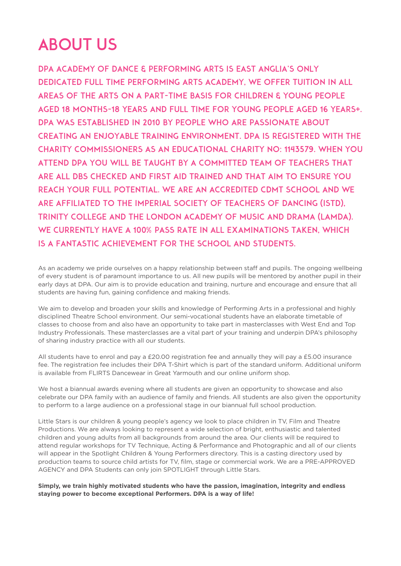# ABOUT US

DPA ACADEMY OF DANCE & PERFORMING ARTS IS EAST ANGLIA'S ONLY DEDICATED FULL TIME PERFORMING ARTS ACADEMY, WE OFFER TUITION IN ALL AREAS OF THE ARTS ON A PART-TIME BASIS FOR CHILDREN & YOUNG PEOPLE AGED 18 MONTHS-18 YEARS AND FULL TIME FOR YOUNG PEOPLE AGED 16 YEARS+. DPA WAS ESTABLISHED IN 2010 BY PEOPLE WHO ARE PASSIONATE ABOUT CREATING AN ENJOYABLE TRAINING ENVIRONMENT. DPA IS REGISTERED WITH THE CHARITY COMMISSIONERS AS AN EDUCATIONAL CHARITY NO: 1143579. WHEN YOU ATTEND DPA YOU WILL BE TAUGHT BY A COMMITTED TEAM OF TEACHERS THAT ARE ALL DBS CHECKED AND FIRST AID TRAINED AND THAT AIM TO ENSURE YOU REACH YOUR FULL POTENTIAL. WE ARE AN ACCREDITED CDMT SCHOOL AND WE ARE AFFILIATED TO THE IMPERIAL SOCIETY OF TEACHERS OF DANCING (ISTD), TRINITY COLLEGE AND THE LONDON ACADEMY OF MUSIC AND DRAMA (LAMDA). WE CURRENTLY HAVE A 100% PASS RATE IN ALL EXAMINATIONS TAKEN, WHICH IS A FANTASTIC ACHIEVEMENT FOR THE SCHOOL AND STUDENTS.

As an academy we pride ourselves on a happy relationship between staff and pupils. The ongoing wellbeing of every student is of paramount importance to us. All new pupils will be mentored by another pupil in their early days at DPA. Our aim is to provide education and training, nurture and encourage and ensure that all students are having fun, gaining confidence and making friends.

We aim to develop and broaden your skills and knowledge of Performing Arts in a professional and highly disciplined Theatre School environment. Our semi-vocational students have an elaborate timetable of classes to choose from and also have an opportunity to take part in masterclasses with West End and Top Industry Professionals. These masterclasses are a vital part of your training and underpin DPA's philosophy of sharing industry practice with all our students.

All students have to enrol and pay a £20.00 registration fee and annually they will pay a £5.00 insurance fee. The registration fee includes their DPA T-Shirt which is part of the standard uniform. Additional uniform is available from FLIRTS Dancewear in Great Yarmouth and our online uniform shop.

We host a biannual awards evening where all students are given an opportunity to showcase and also celebrate our DPA family with an audience of family and friends. All students are also given the opportunity to perform to a large audience on a professional stage in our biannual full school production.

Little Stars is our children & young people's agency we look to place children in TV, Film and Theatre Productions. We are always looking to represent a wide selection of bright, enthusiastic and talented children and young adults from all backgrounds from around the area. Our clients will be required to attend regular workshops for TV Technique, Acting & Performance and Photographic and all of our clients will appear in the Spotlight Children & Young Performers directory. This is a casting directory used by production teams to source child artists for TV, film, stage or commercial work. We are a PRE-APPROVED AGENCY and DPA Students can only join SPOTLIGHT through Little Stars.

**Simply, we train highly motivated students who have the passion, imagination, integrity and endless staying power to become exceptional Performers. DPA is a way of life!**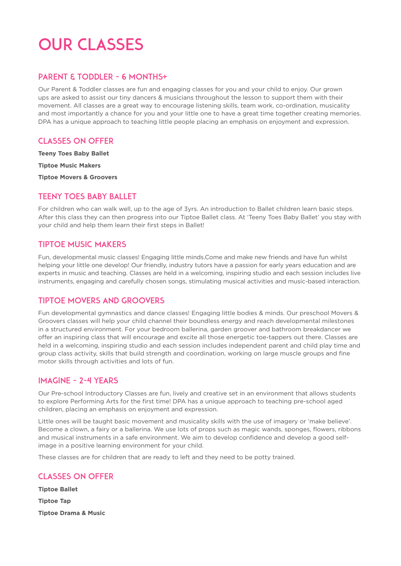# OUR CLASSES

#### PARENT & TODDLER - 6 MONTHS+

Our Parent & Toddler classes are fun and engaging classes for you and your child to enjoy. Our grown ups are asked to assist our tiny dancers & musicians throughout the lesson to support them with their movement. All classes are a great way to encourage listening skills, team work, co-ordination, musicality and most importantly a chance for you and your little one to have a great time together creating memories. DPA has a unique approach to teaching little people placing an emphasis on enjoyment and expression.

### Classes on offer

**Teeny Toes Baby Ballet**

**Tiptoe Music Makers**

**Tiptoe Movers & Groovers**

# Teeny Toes Baby Ballet

For children who can walk well, up to the age of 3yrs. An introduction to Ballet children learn basic steps. After this class they can then progress into our Tiptoe Ballet class. At 'Teeny Toes Baby Ballet' you stay with your child and help them learn their first steps in Ballet!

# Tiptoe Music Makers

Fun, developmental music classes! Engaging little minds.Come and make new friends and have fun whilst helping your little one develop! Our friendly, industry tutors have a passion for early years education and are experts in music and teaching. Classes are held in a welcoming, inspiring studio and each session includes live instruments, engaging and carefully chosen songs, stimulating musical activities and music-based interaction.

# Tiptoe Movers and Groovers

Fun developmental gymnastics and dance classes! Engaging little bodies & minds. Our preschool Movers & Groovers classes will help your child channel their boundless energy and reach developmental milestones in a structured environment. For your bedroom ballerina, garden groover and bathroom breakdancer we offer an inspiring class that will encourage and excite all those energetic toe-tappers out there. Classes are held in a welcoming, inspiring studio and each session includes independent parent and child play time and group class activity, skills that build strength and coordination, working on large muscle groups and fine motor skills through activities and lots of fun.

#### IMAGINE - 2-4 years

Our Pre-school Introductory Classes are fun, lively and creative set in an environment that allows students to explore Performing Arts for the first time! DPA has a unique approach to teaching pre-school aged children, placing an emphasis on enjoyment and expression.

Little ones will be taught basic movement and musicality skills with the use of imagery or 'make believe'. Become a clown, a fairy or a ballerina. We use lots of props such as magic wands, sponges, flowers, ribbons and musical instruments in a safe environment. We aim to develop confidence and develop a good selfimage in a positive learning environment for your child.

These classes are for children that are ready to left and they need to be potty trained.

# Classes on offer

**Tiptoe Ballet Tiptoe Tap Tiptoe Drama & Music**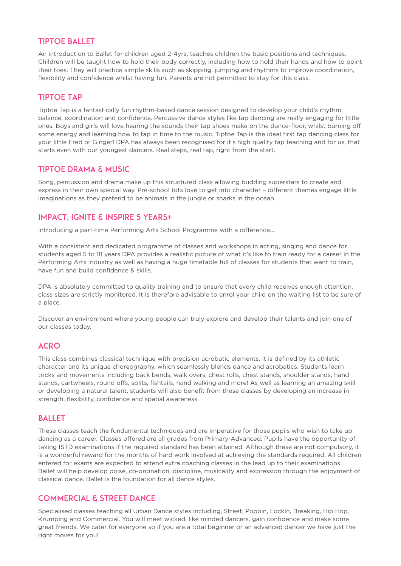#### Tiptoe Ballet

An introduction to Ballet for children aged 2-4yrs, teaches children the basic positions and techniques. Children will be taught how to hold their body correctly, including how to hold their hands and how to point their toes. They will practice simple skills such as skipping, jumping and rhythms to improve coordination, flexibility and confidence whilst having fun. Parents are not permitted to stay for this class.

# Tiptoe Tap

Tiptoe Tap is a fantastically fun rhythm-based dance session designed to develop your child's rhythm, balance, coordination and confidence. Percussive dance styles like tap dancing are really engaging for little ones. Boys and girls will love hearing the sounds their tap shoes make on the dance-floor, whilst burning off some energy and learning how to tap in time to the music. Tiptoe Tap is the ideal first tap dancing class for your little Fred or Ginger! DPA has always been recognised for it's high quality tap teaching and for us, that starts even with our youngest dancers. Real steps, real tap, right from the start.

### Tiptoe Drama & Music

Song, percussion and drama make up this structured class allowing budding superstars to create and express in their own special way. Pre-school tots love to get into character – different themes engage little imaginations as they pretend to be animals in the jungle or sharks in the ocean.

# Impact, Ignite & Inspire 5 years+

Introducing a part-time Performing Arts School Programme with a difference...

With a consistent and dedicated programme of classes and workshops in acting, singing and dance for students aged 5 to 18 years DPA provides a realistic picture of what it's like to train ready for a career in the Performing Arts Industry as well as having a huge timetable full of classes for students that want to train, have fun and build confidence & skills.

DPA is absolutely committed to quality training and to ensure that every child receives enough attention, class sizes are strictly monitored. It is therefore advisable to enrol your child on the waiting list to be sure of a place.

Discover an environment where young people can truly explore and develop their talents and join one of our classes today.

# **ACRO**

This class combines classical technique with precision acrobatic elements. It is defined by its athletic character and its unique choreography, which seamlessly blends dance and acrobatics. Students learn tricks and movements including back bends, walk overs, chest rolls, chest stands, shoulder stands, hand stands, cartwheels, round offs, splits, fishtails, hand walking and more! As well as learning an amazing skill or developing a natural talent, students will also benefit from these classes by developing an increase in strength, flexibility, confidence and spatial awareness.

#### **BALLET**

These classes teach the fundamental techniques and are imperative for those pupils who wish to take up dancing as a career. Classes offered are all grades from Primary-Advanced. Pupils have the opportunity of taking ISTD examinations if the required standard has been attained. Although these are not compulsory, it is a wonderful reward for the months of hard work involved at achieving the standards required. All children entered for exams are expected to attend extra coaching classes in the lead up to their examinations. Ballet will help develop poise, co-ordination, discipline, musicality and expression through the enjoyment of classical dance. Ballet is the foundation for all dance styles.

# Commercial & Street Dance

Specialised classes teaching all Urban Dance styles including, Street, Poppin, Lockin, Breaking, Hip Hop, Krumping and Commercial. You will meet wicked, like minded dancers, gain confidence and make some great friends. We cater for everyone so if you are a total beginner or an advanced dancer we have just the right moves for you!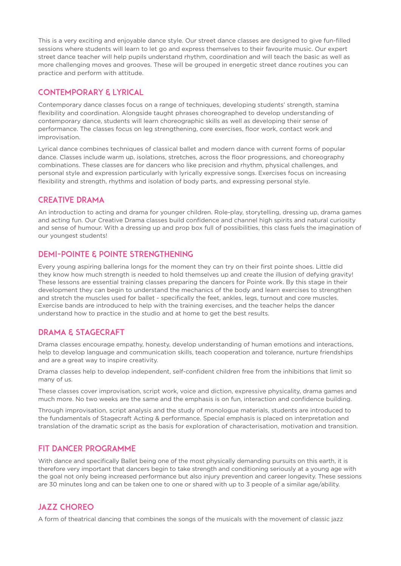This is a very exciting and enjoyable dance style. Our street dance classes are designed to give fun-filled sessions where students will learn to let go and express themselves to their favourite music. Our expert street dance teacher will help pupils understand rhythm, coordination and will teach the basic as well as more challenging moves and grooves. These will be grouped in energetic street dance routines you can practice and perform with attitude.

#### Contemporary & Lyrical

Contemporary dance classes focus on a range of techniques, developing students' strength, stamina flexibility and coordination. Alongside taught phrases choreographed to develop understanding of contemporary dance, students will learn choreographic skills as well as developing their sense of performance. The classes focus on leg strengthening, core exercises, floor work, contact work and improvisation.

Lyrical dance combines techniques of classical ballet and modern dance with current forms of popular dance. Classes include warm up, isolations, stretches, across the floor progressions, and choreography combinations. These classes are for dancers who like precision and rhythm, physical challenges, and personal style and expression particularly with lyrically expressive songs. Exercises focus on increasing flexibility and strength, rhythms and isolation of body parts, and expressing personal style.

#### Creative Drama

An introduction to acting and drama for younger children. Role-play, storytelling, dressing up, drama games and acting fun. Our Creative Drama classes build confidence and channel high spirits and natural curiosity and sense of humour. With a dressing up and prop box full of possibilities, this class fuels the imagination of our youngest students!

#### DEMI-POINTE & POINTE STRENGTHENING

Every young aspiring ballerina longs for the moment they can try on their first pointe shoes. Little did they know how much strength is needed to hold themselves up and create the illusion of defying gravity! These lessons are essential training classes preparing the dancers for Pointe work. By this stage in their development they can begin to understand the mechanics of the body and learn exercises to strengthen and stretch the muscles used for ballet - specifically the feet, ankles, legs, turnout and core muscles. Exercise bands are introduced to help with the training exercises, and the teacher helps the dancer understand how to practice in the studio and at home to get the best results.

#### Drama & Stagecraft

Drama classes encourage empathy, honesty, develop understanding of human emotions and interactions, help to develop language and communication skills, teach cooperation and tolerance, nurture friendships and are a great way to inspire creativity.

Drama classes help to develop independent, self-confident children free from the inhibitions that limit so many of us.

These classes cover improvisation, script work, voice and diction, expressive physicality, drama games and much more. No two weeks are the same and the emphasis is on fun, interaction and confidence building.

Through improvisation, script analysis and the study of monologue materials, students are introduced to the fundamentals of Stagecraft Acting & performance. Special emphasis is placed on interpretation and translation of the dramatic script as the basis for exploration of characterisation, motivation and transition.

#### Fit Dancer Programme

With dance and specifically Ballet being one of the most physically demanding pursuits on this earth, it is therefore very important that dancers begin to take strength and conditioning seriously at a young age with the goal not only being increased performance but also injury prevention and career longevity. These sessions are 30 minutes long and can be taken one to one or shared with up to 3 people of a similar age/ability.

# JAZZ CHOREO

A form of theatrical dancing that combines the songs of the musicals with the movement of classic jazz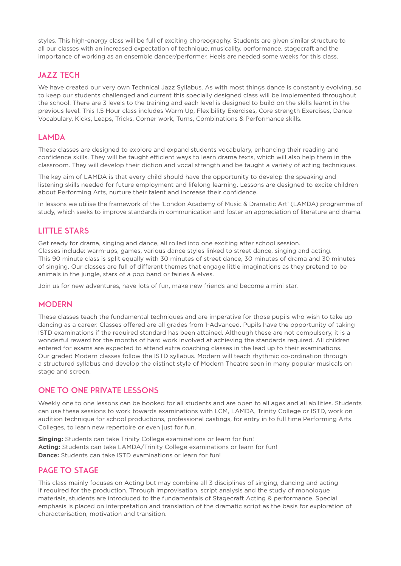styles. This high-energy class will be full of exciting choreography. Students are given similar structure to all our classes with an increased expectation of technique, musicality, performance, stagecraft and the importance of working as an ensemble dancer/performer. Heels are needed some weeks for this class.

### **JAZZ TECH**

We have created our very own Technical Jazz Syllabus. As with most things dance is constantly evolving, so to keep our students challenged and current this specially designed class will be implemented throughout the school. There are 3 levels to the training and each level is designed to build on the skills learnt in the previous level. This 1.5 Hour class includes Warm Up, Flexibility Exercises, Core strength Exercises, Dance Vocabulary, Kicks, Leaps, Tricks, Corner work, Turns, Combinations & Performance skills.

#### LAMDA

These classes are designed to explore and expand students vocabulary, enhancing their reading and confidence skills. They will be taught efficient ways to learn drama texts, which will also help them in the classroom. They will develop their diction and vocal strength and be taught a variety of acting techniques.

The key aim of LAMDA is that every child should have the opportunity to develop the speaking and listening skills needed for future employment and lifelong learning. Lessons are designed to excite children about Performing Arts, nurture their talent and increase their confidence.

In lessons we utilise the framework of the 'London Academy of Music & Dramatic Art' (LAMDA) programme of study, which seeks to improve standards in communication and foster an appreciation of literature and drama.

#### LiTTLE STARS

Get ready for drama, singing and dance, all rolled into one exciting after school session. Classes include: warm-ups, games, various dance styles linked to street dance, singing and acting. This 90 minute class is split equally with 30 minutes of street dance, 30 minutes of drama and 30 minutes of singing. Our classes are full of different themes that engage little imaginations as they pretend to be animals in the jungle, stars of a pop band or fairies & elves.

Join us for new adventures, have lots of fun, make new friends and become a mini star.

#### **MODERN**

These classes teach the fundamental techniques and are imperative for those pupils who wish to take up dancing as a career. Classes offered are all grades from 1-Advanced. Pupils have the opportunity of taking ISTD examinations if the required standard has been attained. Although these are not compulsory, it is a wonderful reward for the months of hard work involved at achieving the standards required. All children entered for exams are expected to attend extra coaching classes in the lead up to their examinations. Our graded Modern classes follow the ISTD syllabus. Modern will teach rhythmic co-ordination through a structured syllabus and develop the distinct style of Modern Theatre seen in many popular musicals on stage and screen.

#### ONE TO ONE PRIVATE LESSONS

Weekly one to one lessons can be booked for all students and are open to all ages and all abilities. Students can use these sessions to work towards examinations with LCM, LAMDA, Trinity College or ISTD, work on audition technique for school productions, professional castings, for entry in to full time Performing Arts Colleges, to learn new repertoire or even just for fun.

**Singing:** Students can take Trinity College examinations or learn for fun! **Acting:** Students can take LAMDA/Trinity College examinations or learn for fun! **Dance:** Students can take ISTD examinations or learn for fun!

#### Page to Stage

This class mainly focuses on Acting but may combine all 3 disciplines of singing, dancing and acting if required for the production. Through improvisation, script analysis and the study of monologue materials, students are introduced to the fundamentals of Stagecraft Acting & performance. Special emphasis is placed on interpretation and translation of the dramatic script as the basis for exploration of characterisation, motivation and transition.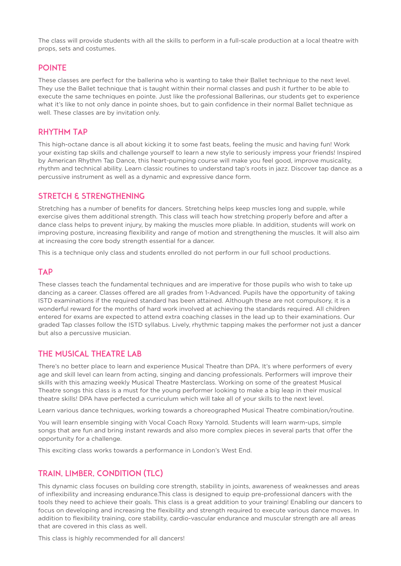The class will provide students with all the skills to perform in a full-scale production at a local theatre with props, sets and costumes.

#### POINTE

These classes are perfect for the ballerina who is wanting to take their Ballet technique to the next level. They use the Ballet technique that is taught within their normal classes and push it further to be able to execute the same techniques en pointe. Just like the professional Ballerinas, our students get to experience what it's like to not only dance in pointe shoes, but to gain confidence in their normal Ballet technique as well. These classes are by invitation only.

### RHYTHM TAP

This high-octane dance is all about kicking it to some fast beats, feeling the music and having fun! Work your existing tap skills and challenge yourself to learn a new style to seriously impress your friends! Inspired by American Rhythm Tap Dance, this heart-pumping course will make you feel good, improve musicality, rhythm and technical ability. Learn classic routines to understand tap's roots in jazz. Discover tap dance as a percussive instrument as well as a dynamic and expressive dance form.

#### Stretch & Strengthening

Stretching has a number of benefits for dancers. Stretching helps keep muscles long and supple, while exercise gives them additional strength. This class will teach how stretching properly before and after a dance class helps to prevent injury, by making the muscles more pliable. In addition, students will work on improving posture, increasing flexibility and range of motion and strengthening the muscles. It will also aim at increasing the core body strength essential for a dancer.

This is a technique only class and students enrolled do not perform in our full school productions.

#### **TAP**

These classes teach the fundamental techniques and are imperative for those pupils who wish to take up dancing as a career. Classes offered are all grades from 1-Advanced. Pupils have the opportunity of taking ISTD examinations if the required standard has been attained. Although these are not compulsory, it is a wonderful reward for the months of hard work involved at achieving the standards required. All children entered for exams are expected to attend extra coaching classes in the lead up to their examinations. Our graded Tap classes follow the ISTD syllabus. Lively, rhythmic tapping makes the performer not just a dancer but also a percussive musician.

#### The Musical Theatre Lab

There's no better place to learn and experience Musical Theatre than DPA. It's where performers of every age and skill level can learn from acting, singing and dancing professionals. Performers will improve their skills with this amazing weekly Musical Theatre Masterclass. Working on some of the greatest Musical Theatre songs this class is a must for the young performer looking to make a big leap in their musical theatre skills! DPA have perfected a curriculum which will take all of your skills to the next level.

Learn various dance techniques, working towards a choreographed Musical Theatre combination/routine.

You will learn ensemble singing with Vocal Coach Roxy Yarnold. Students will learn warm-ups, simple songs that are fun and bring instant rewards and also more complex pieces in several parts that offer the opportunity for a challenge.

This exciting class works towards a performance in London's West End.

# Train, Limber, Condition (TLC)

This dynamic class focuses on building core strength, stability in joints, awareness of weaknesses and areas of inflexibility and increasing endurance.This class is designed to equip pre-professional dancers with the tools they need to achieve their goals. This class is a great addition to your training! Enabling our dancers to focus on developing and increasing the flexibility and strength required to execute various dance moves. In addition to flexibility training, core stability, cardio-vascular endurance and muscular strength are all areas that are covered in this class as well.

This class is highly recommended for all dancers!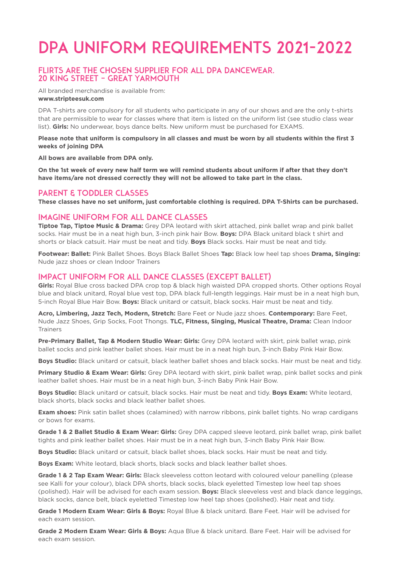# DPA UNIFORM REQUIREMENTS 2021-2022

#### FLIRTS are the chosen supplier for all DPA Dancewear. 20 King Street – Great Yarmouth

All branded merchandise is available from: **www.stripteesuk.com**

DPA T-shirts are compulsory for all students who participate in any of our shows and are the only t-shirts that are permissible to wear for classes where that item is listed on the uniform list (see studio class wear list). **Girls:** No underwear, boys dance belts. New uniform must be purchased for EXAMS.

**Please note that uniform is compulsory in all classes and must be worn by all students within the first 3 weeks of joining DPA**

**All bows are available from DPA only.**

**On the 1st week of every new half term we will remind students about uniform if after that they don't have items/are not dressed correctly they will not be allowed to take part in the class.**

#### PARENT & TODDLER CLASSES

**These classes have no set uniform, just comfortable clothing is required. DPA T-Shirts can be purchased.**

#### Imagine Uniform for all Dance classes

**Tiptoe Tap, Tiptoe Music & Drama:** Grey DPA leotard with skirt attached, pink ballet wrap and pink ballet socks. Hair must be in a neat high bun, 3-inch pink hair Bow. **Boys:** DPA Black unitard black t shirt and shorts or black catsuit. Hair must be neat and tidy. **Boys** Black socks. Hair must be neat and tidy.

**Footwear: Ballet:** Pink Ballet Shoes. Boys Black Ballet Shoes **Tap:** Black low heel tap shoes **Drama, Singing:**  Nude jazz shoes or clean Indoor Trainers

#### Impact Uniform for all Dance classes (except ballet)

**Girls:** Royal Blue cross backed DPA crop top & black high waisted DPA cropped shorts. Other options Royal blue and black unitard, Royal blue vest top, DPA black full-length leggings. Hair must be in a neat high bun, 5-inch Royal Blue Hair Bow. **Boys:** Black unitard or catsuit, black socks. Hair must be neat and tidy.

**Acro, Limbering, Jazz Tech, Modern, Stretch:** Bare Feet or Nude jazz shoes. **Contemporary:** Bare Feet, Nude Jazz Shoes, Grip Socks, Foot Thongs. **TLC, Fitness, Singing, Musical Theatre, Drama:** Clean Indoor Trainers

**Pre-Primary Ballet, Tap & Modern Studio Wear: Girls:** Grey DPA leotard with skirt, pink ballet wrap, pink ballet socks and pink leather ballet shoes. Hair must be in a neat high bun, 3-inch Baby Pink Hair Bow.

**Boys Studio:** Black unitard or catsuit, black leather ballet shoes and black socks. Hair must be neat and tidy.

**Primary Studio & Exam Wear: Girls:** Grey DPA leotard with skirt, pink ballet wrap, pink ballet socks and pink leather ballet shoes. Hair must be in a neat high bun, 3-inch Baby Pink Hair Bow.

**Boys Studio:** Black unitard or catsuit, black socks. Hair must be neat and tidy. **Boys Exam:** White leotard, black shorts, black socks and black leather ballet shoes.

**Exam shoes:** Pink satin ballet shoes (calamined) with narrow ribbons, pink ballet tights. No wrap cardigans or bows for exams.

**Grade 1 & 2 Ballet Studio & Exam Wear: Girls:** Grey DPA capped sleeve leotard, pink ballet wrap, pink ballet tights and pink leather ballet shoes. Hair must be in a neat high bun, 3-inch Baby Pink Hair Bow.

**Boys Studio:** Black unitard or catsuit, black ballet shoes, black socks. Hair must be neat and tidy.

**Boys Exam:** White leotard, black shorts, black socks and black leather ballet shoes.

**Grade 1 & 2 Tap Exam Wear: Girls:** Black sleeveless cotton leotard with coloured velour panelling (please see Kalli for your colour), black DPA shorts, black socks, black eyeletted Timestep low heel tap shoes (polished). Hair will be advised for each exam session. **Boys:** Black sleeveless vest and black dance leggings, black socks, dance belt, black eyeletted Timestep low heel tap shoes (polished). Hair neat and tidy.

**Grade 1 Modern Exam Wear: Girls & Boys:** Royal Blue & black unitard. Bare Feet. Hair will be advised for each exam session.

**Grade 2 Modern Exam Wear: Girls & Boys:** Aqua Blue & black unitard. Bare Feet. Hair will be advised for each exam session.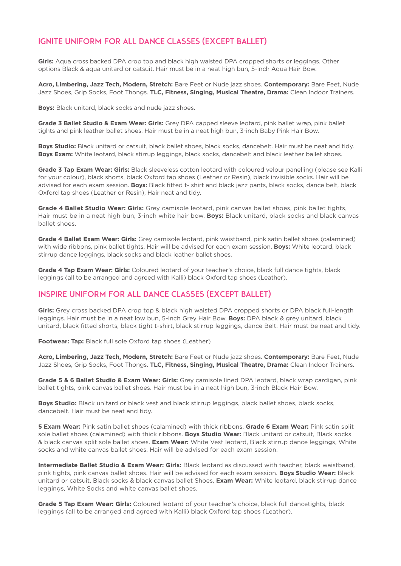# Ignite Uniform for all Dance classes (except ballet)

**Girls:** Aqua cross backed DPA crop top and black high waisted DPA cropped shorts or leggings. Other options Black & aqua unitard or catsuit. Hair must be in a neat high bun, 5-inch Aqua Hair Bow.

**Acro, Limbering, Jazz Tech, Modern, Stretch:** Bare Feet or Nude jazz shoes. **Contemporary:** Bare Feet, Nude Jazz Shoes, Grip Socks, Foot Thongs. **TLC, Fitness, Singing, Musical Theatre, Drama:** Clean Indoor Trainers.

**Boys:** Black unitard, black socks and nude jazz shoes.

**Grade 3 Ballet Studio & Exam Wear: Girls:** Grey DPA capped sleeve leotard, pink ballet wrap, pink ballet tights and pink leather ballet shoes. Hair must be in a neat high bun, 3-inch Baby Pink Hair Bow.

**Boys Studio:** Black unitard or catsuit, black ballet shoes, black socks, dancebelt. Hair must be neat and tidy. **Boys Exam:** White leotard, black stirrup leggings, black socks, dancebelt and black leather ballet shoes.

**Grade 3 Tap Exam Wear: Girls:** Black sleeveless cotton leotard with coloured velour panelling (please see Kalli for your colour), black shorts, black Oxford tap shoes (Leather or Resin), black invisible socks. Hair will be advised for each exam session. **Boys:** Black fitted t- shirt and black jazz pants, black socks, dance belt, black Oxford tap shoes (Leather or Resin), Hair neat and tidy.

**Grade 4 Ballet Studio Wear: Girls:** Grey camisole leotard, pink canvas ballet shoes, pink ballet tights, Hair must be in a neat high bun, 3-inch white hair bow. **Boys:** Black unitard, black socks and black canvas ballet shoes.

**Grade 4 Ballet Exam Wear: Girls:** Grey camisole leotard, pink waistband, pink satin ballet shoes (calamined) with wide ribbons, pink ballet tights. Hair will be advised for each exam session. **Boys:** White leotard, black stirrup dance leggings, black socks and black leather ballet shoes.

**Grade 4 Tap Exam Wear: Girls:** Coloured leotard of your teacher's choice, black full dance tights, black leggings (all to be arranged and agreed with Kalli) black Oxford tap shoes (Leather).

#### Inspire Uniform for all Dance classes (except ballet)

**Girls:** Grey cross backed DPA crop top & black high waisted DPA cropped shorts or DPA black full-length leggings. Hair must be in a neat low bun, 5-inch Grey Hair Bow. **Boys:** DPA black & grey unitard, black unitard, black fitted shorts, black tight t-shirt, black stirrup leggings, dance Belt. Hair must be neat and tidy.

**Footwear: Tap:** Black full sole Oxford tap shoes (Leather)

**Acro, Limbering, Jazz Tech, Modern, Stretch:** Bare Feet or Nude jazz shoes. **Contemporary:** Bare Feet, Nude Jazz Shoes, Grip Socks, Foot Thongs. **TLC, Fitness, Singing, Musical Theatre, Drama:** Clean Indoor Trainers.

**Grade 5 & 6 Ballet Studio & Exam Wear: Girls:** Grey camisole lined DPA leotard, black wrap cardigan, pink ballet tights, pink canvas ballet shoes. Hair must be in a neat high bun, 3-inch Black Hair Bow.

**Boys Studio:** Black unitard or black vest and black stirrup leggings, black ballet shoes, black socks, dancebelt. Hair must be neat and tidy.

**5 Exam Wear:** Pink satin ballet shoes (calamined) with thick ribbons. **Grade 6 Exam Wear:** Pink satin split sole ballet shoes (calamined) with thick ribbons. **Boys Studio Wear:** Black unitard or catsuit, Black socks & black canvas split sole ballet shoes. **Exam Wear:** White Vest leotard, Black stirrup dance leggings, White socks and white canvas ballet shoes. Hair will be advised for each exam session.

**Intermediate Ballet Studio & Exam Wear: Girls:** Black leotard as discussed with teacher, black waistband, pink tights, pink canvas ballet shoes. Hair will be advised for each exam session. **Boys Studio Wear:** Black unitard or catsuit, Black socks & black canvas ballet Shoes, **Exam Wear:** White leotard, black stirrup dance leggings, White Socks and white canvas ballet shoes.

**Grade 5 Tap Exam Wear: Girls:** Coloured leotard of your teacher's choice, black full dancetights, black leggings (all to be arranged and agreed with Kalli) black Oxford tap shoes (Leather).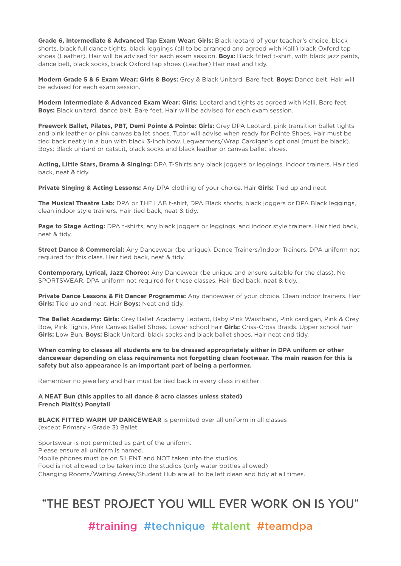**Grade 6, Intermediate & Advanced Tap Exam Wear: Girls:** Black leotard of your teacher's choice, black shorts, black full dance tights, black leggings (all to be arranged and agreed with Kalli) black Oxford tap shoes (Leather). Hair will be advised for each exam session. **Boys:** Black fitted t-shirt, with black jazz pants, dance belt, black socks, black Oxford tap shoes (Leather) Hair neat and tidy.

**Modern Grade 5 & 6 Exam Wear: Girls & Boys:** Grey & Black Unitard. Bare feet. **Boys:** Dance belt. Hair will be advised for each exam session.

**Modern Intermediate & Advanced Exam Wear: Girls:** Leotard and tights as agreed with Kalli. Bare feet. **Boys:** Black unitard, dance belt. Bare feet. Hair will be advised for each exam session.

**Freework Ballet, Pilates, PBT, Demi Pointe & Pointe: Girls:** Grey DPA Leotard, pink transition ballet tights and pink leather or pink canvas ballet shoes. Tutor will advise when ready for Pointe Shoes, Hair must be tied back neatly in a bun with black 3-inch bow. Legwarmers/Wrap Cardigan's optional (must be black). Boys: Black unitard or catsuit, black socks and black leather or canvas ballet shoes.

**Acting, Little Stars, Drama & Singing:** DPA T-Shirts any black joggers or leggings, indoor trainers. Hair tied back, neat & tidy.

**Private Singing & Acting Lessons:** Any DPA clothing of your choice. Hair **Girls:** Tied up and neat.

**The Musical Theatre Lab:** DPA or THE LAB t-shirt, DPA Black shorts, black joggers or DPA Black leggings, clean indoor style trainers. Hair tied back, neat & tidy.

**Page to Stage Acting:** DPA t-shirts, any black joggers or leggings, and indoor style trainers. Hair tied back, neat & tidy.

**Street Dance & Commercial:** Any Dancewear (be unique). Dance Trainers/Indoor Trainers. DPA uniform not required for this class. Hair tied back, neat & tidy.

**Contemporary, Lyrical, Jazz Choreo:** Any Dancewear (be unique and ensure suitable for the class). No SPORTSWEAR. DPA uniform not required for these classes. Hair tied back, neat & tidy.

**Private Dance Lessons & Fit Dancer Programme:** Any dancewear of your choice. Clean indoor trainers. Hair **Girls:** Tied up and neat. Hair **Boys:** Neat and tidy.

**The Ballet Academy: Girls:** Grey Ballet Academy Leotard, Baby Pink Waistband, Pink cardigan, Pink & Grey Bow, Pink Tights, Pink Canvas Ballet Shoes. Lower school hair **Girls:** Criss-Cross Braids. Upper school hair **Girls:** Low Bun. **Boys:** Black Unitard, black socks and black ballet shoes. Hair neat and tidy.

**When coming to classes all students are to be dressed appropriately either in DPA uniform or other dancewear depending on class requirements not forgetting clean footwear. The main reason for this is safety but also appearance is an important part of being a performer.**

Remember no jewellery and hair must be tied back in every class in either:

#### **A NEAT Bun (this applies to all dance & acro classes unless stated) French Plait(s) Ponytail**

**BLACK FITTED WARM UP DANCEWEAR** is permitted over all uniform in all classes (except Primary - Grade 3) Ballet.

Sportswear is not permitted as part of the uniform. Please ensure all uniform is named. Mobile phones must be on SILENT and NOT taken into the studios. Food is not allowed to be taken into the studios (only water bottles allowed) Changing Rooms/Waiting Areas/Student Hub are all to be left clean and tidy at all times.

# "THE BEST PROJECT YOU WILL EVER WORK ON IS YOU"

#training #technique #talent #teamdpa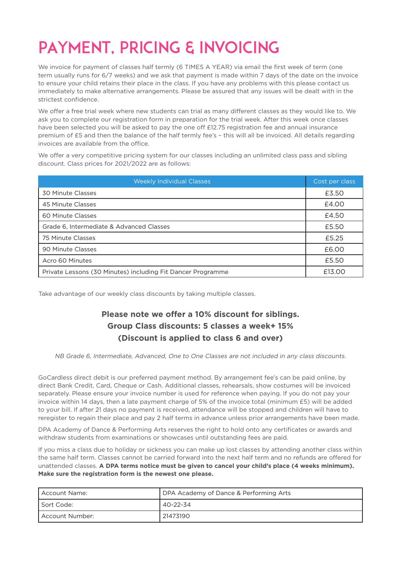# PAYMENT, PRICING & INVOICING

We invoice for payment of classes half termly (6 TIMES A YEAR) via email the first week of term (one term usually runs for 6/7 weeks) and we ask that payment is made within 7 days of the date on the invoice to ensure your child retains their place in the class. If you have any problems with this please contact us immediately to make alternative arrangements. Please be assured that any issues will be dealt with in the strictest confidence.

We offer a free trial week where new students can trial as many different classes as they would like to. We ask you to complete our registration form in preparation for the trial week. After this week once classes have been selected you will be asked to pay the one off £12.75 registration fee and annual insurance premium of £5 and then the balance of the half termly fee's – this will all be invoiced. All details regarding invoices are available from the office.

We offer a very competitive pricing system for our classes including an unlimited class pass and sibling discount. Class prices for 2021/2022 are as follows:

| <b>Weekly Individual Classes</b>                            | Cost per class |
|-------------------------------------------------------------|----------------|
| 30 Minute Classes                                           | £3.50          |
| 45 Minute Classes                                           | £4.00          |
| 60 Minute Classes                                           | £4.50          |
| Grade 6, Intermediate & Advanced Classes                    | £5.50          |
| 75 Minute Classes                                           | £5.25          |
| 90 Minute Classes                                           | £6.00          |
| Acro 60 Minutes                                             | £5.50          |
| Private Lessons (30 Minutes) including Fit Dancer Programme | £13.00         |

Take advantage of our weekly class discounts by taking multiple classes.

# **Please note we offer a 10% discount for siblings. Group Class discounts: 5 classes a week+ 15% (Discount is applied to class 6 and over)**

NB Grade 6, Intermediate, Advanced, One to One Classes are not included in any class discounts.

GoCardless direct debit is our preferred payment method. By arrangement fee's can be paid online, by direct Bank Credit, Card, Cheque or Cash. Additional classes, rehearsals, show costumes will be invoiced separately. Please ensure your invoice number is used for reference when paying. If you do not pay your invoice within 14 days, then a late payment charge of 5% of the invoice total (minimum £5) will be added to your bill. If after 21 days no payment is received, attendance will be stopped and children will have to reregister to regain their place and pay 2 half terms in advance unless prior arrangements have been made.

DPA Academy of Dance & Performing Arts reserves the right to hold onto any certificates or awards and withdraw students from examinations or showcases until outstanding fees are paid.

If you miss a class due to holiday or sickness you can make up lost classes by attending another class within the same half term. Classes cannot be carried forward into the next half term and no refunds are offered for unattended classes. **A DPA terms notice must be given to cancel your child's place (4 weeks minimum). Make sure the registration form is the newest one please.** 

| l Account Name:         | DPA Academy of Dance & Performing Arts |
|-------------------------|----------------------------------------|
| I Sort Code:            | 40-22-34                               |
| <b>LAccount Number:</b> | 21473190                               |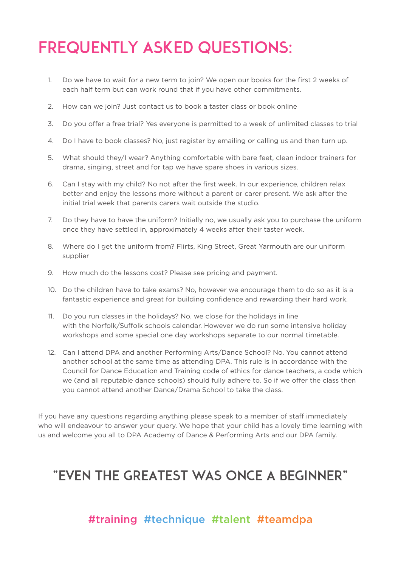# FREQUENTLY ASKED QUESTIONS:

- 1. Do we have to wait for a new term to join? We open our books for the first 2 weeks of each half term but can work round that if you have other commitments.
- 2. How can we join? Just contact us to book a taster class or book online
- 3. Do you offer a free trial? Yes everyone is permitted to a week of unlimited classes to trial
- 4. Do I have to book classes? No, just register by emailing or calling us and then turn up.
- 5. What should they/I wear? Anything comfortable with bare feet, clean indoor trainers for drama, singing, street and for tap we have spare shoes in various sizes.
- 6. Can I stay with my child? No not after the first week. In our experience, children relax better and enjoy the lessons more without a parent or carer present. We ask after the initial trial week that parents carers wait outside the studio.
- 7. Do they have to have the uniform? Initially no, we usually ask you to purchase the uniform once they have settled in, approximately 4 weeks after their taster week.
- 8. Where do I get the uniform from? Flirts, King Street, Great Yarmouth are our uniform supplier
- 9. How much do the lessons cost? Please see pricing and payment.
- 10. Do the children have to take exams? No, however we encourage them to do so as it is a fantastic experience and great for building confidence and rewarding their hard work.
- 11. Do you run classes in the holidays? No, we close for the holidays in line with the Norfolk/Suffolk schools calendar. However we do run some intensive holiday workshops and some special one day workshops separate to our normal timetable.
- 12. Can I attend DPA and another Performing Arts/Dance School? No. You cannot attend another school at the same time as attending DPA. This rule is in accordance with the Council for Dance Education and Training code of ethics for dance teachers, a code which we (and all reputable dance schools) should fully adhere to. So if we offer the class then you cannot attend another Dance/Drama School to take the class.

If you have any questions regarding anything please speak to a member of staff immediately who will endeavour to answer your query. We hope that your child has a lovely time learning with us and welcome you all to DPA Academy of Dance & Performing Arts and our DPA family.

# "EVEN THE GREATEST WAS ONCE A BEGINNER"

# #training #technique #talent #teamdpa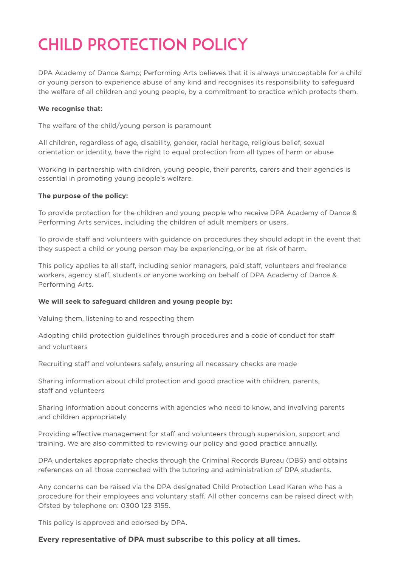# CHILD PROTECTION POLICY

DPA Academy of Dance & amp: Performing Arts believes that it is always unacceptable for a child or young person to experience abuse of any kind and recognises its responsibility to safeguard the welfare of all children and young people, by a commitment to practice which protects them.

#### **We recognise that:**

The welfare of the child/young person is paramount

All children, regardless of age, disability, gender, racial heritage, religious belief, sexual orientation or identity, have the right to equal protection from all types of harm or abuse

Working in partnership with children, young people, their parents, carers and their agencies is essential in promoting young people's welfare.

#### **The purpose of the policy:**

To provide protection for the children and young people who receive DPA Academy of Dance & Performing Arts services, including the children of adult members or users.

To provide staff and volunteers with guidance on procedures they should adopt in the event that they suspect a child or young person may be experiencing, or be at risk of harm.

This policy applies to all staff, including senior managers, paid staff, volunteers and freelance workers, agency staff, students or anyone working on behalf of DPA Academy of Dance & Performing Arts.

#### **We will seek to safeguard children and young people by:**

Valuing them, listening to and respecting them

Adopting child protection guidelines through procedures and a code of conduct for staff and volunteers

Recruiting staff and volunteers safely, ensuring all necessary checks are made

Sharing information about child protection and good practice with children, parents, staff and volunteers

Sharing information about concerns with agencies who need to know, and involving parents and children appropriately

Providing effective management for staff and volunteers through supervision, support and training. We are also committed to reviewing our policy and good practice annually.

DPA undertakes appropriate checks through the Criminal Records Bureau (DBS) and obtains references on all those connected with the tutoring and administration of DPA students.

Any concerns can be raised via the DPA designated Child Protection Lead Karen who has a procedure for their employees and voluntary staff. All other concerns can be raised direct with Ofsted by telephone on: 0300 123 3155.

This policy is approved and edorsed by DPA.

#### **Every representative of DPA must subscribe to this policy at all times.**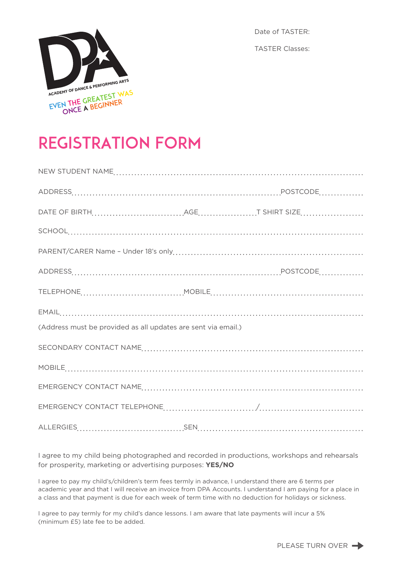

Date of TASTER: TASTER Classes:

# REGISTRATION FORM

| (Address must be provided as all updates are sent via email.) |  |  |  |
|---------------------------------------------------------------|--|--|--|
|                                                               |  |  |  |
|                                                               |  |  |  |
|                                                               |  |  |  |
|                                                               |  |  |  |
|                                                               |  |  |  |

I agree to my child being photographed and recorded in productions, workshops and rehearsals for prosperity, marketing or advertising purposes: **YES/NO**

I agree to pay my child's/children's term fees termly in advance, I understand there are 6 terms per academic year and that I will receive an invoice from DPA Accounts. I understand I am paying for a place in a class and that payment is due for each week of term time with no deduction for holidays or sickness.

I agree to pay termly for my child's dance lessons. I am aware that late payments will incur a 5% (minimum £5) late fee to be added.